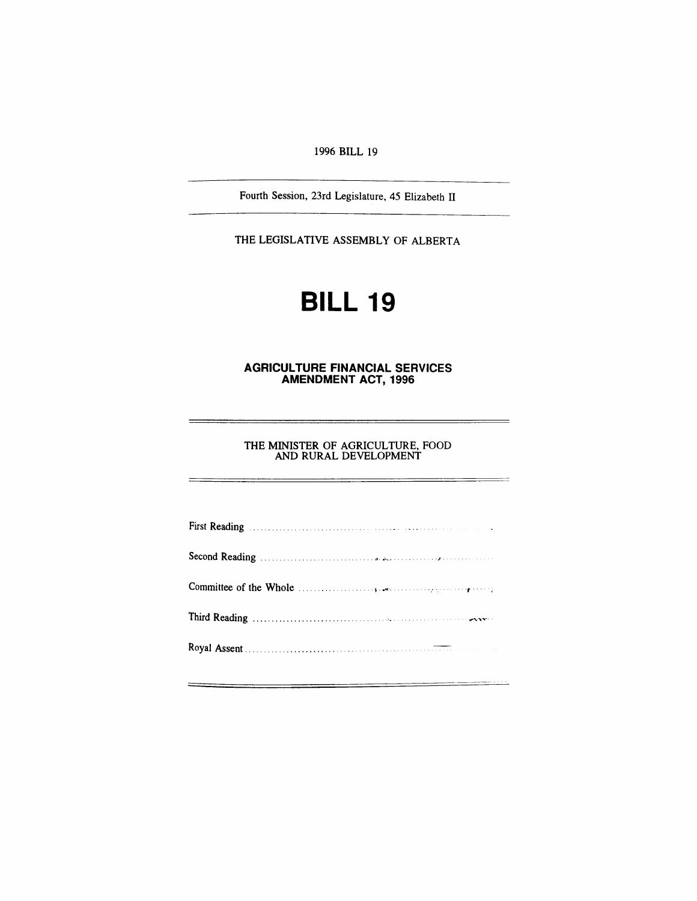# *1996 BILL 19*

*Fourth Session, 23rd Legislature, 45 Elizabeth II*

*THE LEGISLATIVE ASSEMBLY OF ALBERTA*

# *BILL 19*

#### *AGRICULTURE FINANCIAL SERVICES AMENDMENT ACT, 1996*

*THE MINISTER OF AGRICULTURE, FOOD AND RURAL DEVELOPMENT*

| First Reading Manual Communication of the Communication of the Communication of the Communication of the Communication of the Communication of the Communication of the Communication of the Communication of the Communicatio |
|--------------------------------------------------------------------------------------------------------------------------------------------------------------------------------------------------------------------------------|
|                                                                                                                                                                                                                                |
| Committee of the Whole $\ldots$ $\ldots$ $\ldots$ $\ldots$ $\ldots$ $\ldots$ $\ldots$ $\ldots$ $\ldots$ $\ldots$ $\ldots$                                                                                                      |
|                                                                                                                                                                                                                                |
|                                                                                                                                                                                                                                |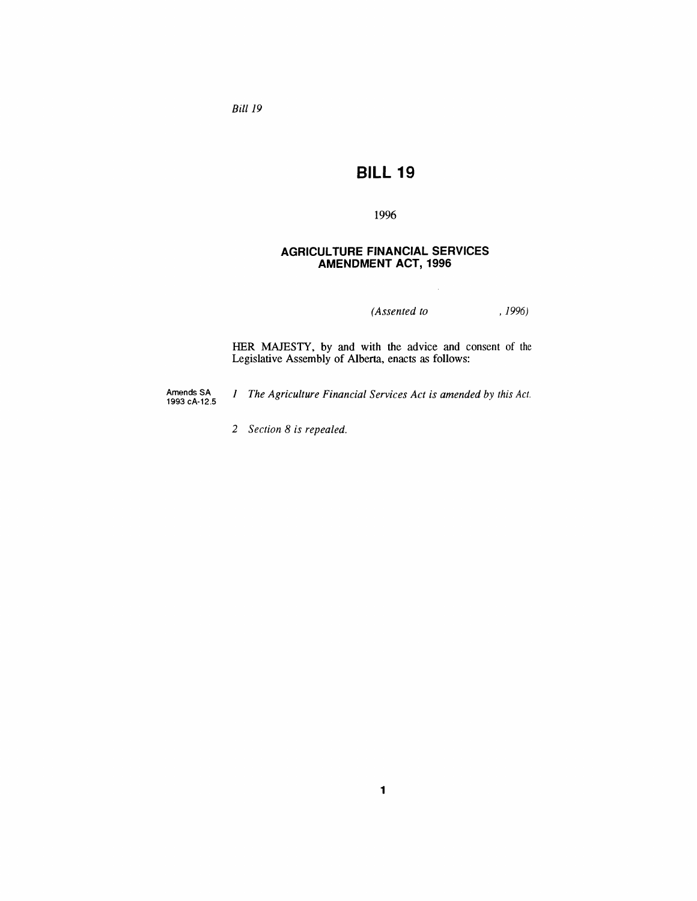*Bill 19*

# *BILL 19*

# *1996*

# *AGRICULTURE FINANCIAL SERVICES AMENDMENT ACT, 1996*

*(Assented to , 1996)*

*HER MAJESTY, by and with the advice and consent of the Legislative Assembly of Alberta, enacts as follows:*

*Amends SA 1993 cA-12.5* *<sup>1</sup> The Agriculture Financial Services Act is amended by this Act.*

*2 Section 8 is repealed.*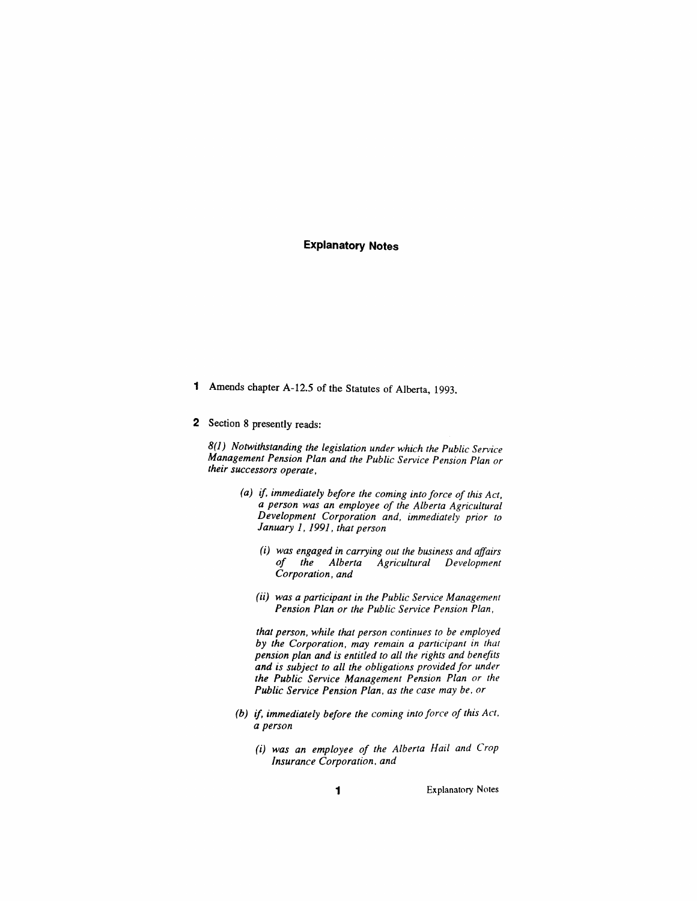## *Explanatory Notes*

- *<sup>1</sup> Amends chapter A-12.5 of the Statutes of Alberta, 1993.*
- *2 Section 8 presently reads:*

*8(1) Notwithstanding the legislation under which the Public Service Management Pension Plan and the Public Service Pension Plan or their successors operate,*

- *(a) if, immediately before the coming into force of this Act, a person was an employee of the Alberta Agricultural Development Corporation and, immediately prior to January 1, 1991, that person*
	- *(i) was engaged in carrying out the business and affairs of the Alberta Agricultural Development Corporation, and*
	- *(ii) was a participant in the Public Service Management Pension Plan or the Public Service Pension Plan,*

*that person, while that person continues to be employed by the Corporation, may remain a participant in that pension plan and is entitled to all the rights and benefits and is subject to all the obligations provided for under the Public Service Management Pension Plan or the Public Service Pension Plan, as the case may be, or*

- *(b) if, immediately before the coming into force of this Act, a person*
	- *(i) was an employee of the Alberta Hail and Crop Insurance Corporation, and*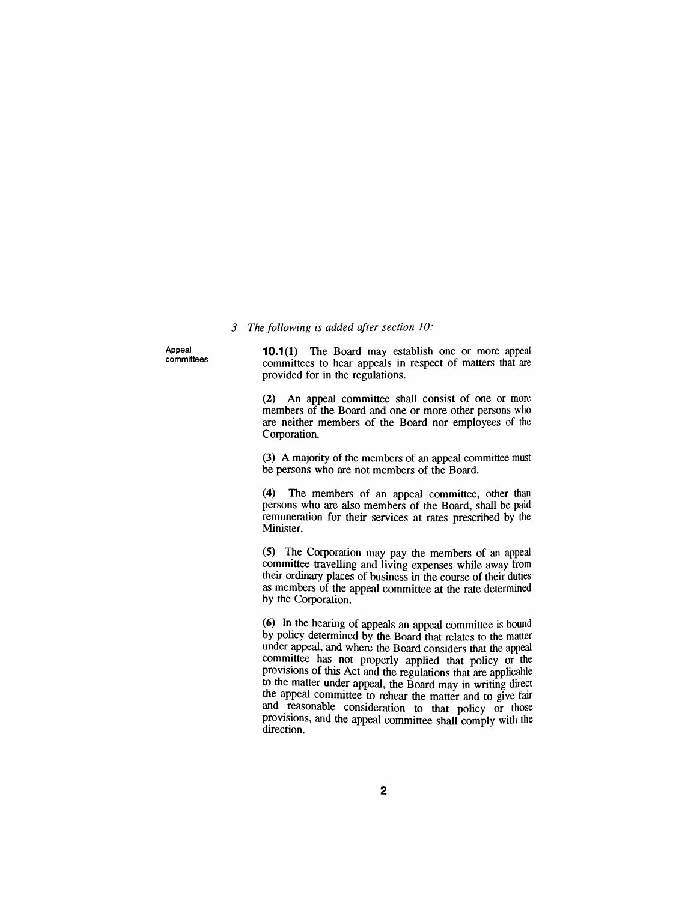#### *3 The following is added after section 10:*

*Appeal committees*

*10.1(1) The Board may establish one or more appeal committees to hear appeals in respect of matters that are provided for in the regulations.*

*(2) An appeal committee shall consist of one or more members of the Board and one or more other persons who are neither members of the Board nor employees of the Corporation.*

*(3) A majority of the members of an appeal committee must be persons who are not members of the Board.*

*(4) The members of an appeal committee, other than persons who are also members of the Board, shall be paid remuneration for their services at rates prescribed by the Minister.*

*(5) The Corporation may pay the members of an appeal committee travelling and living expenses while away from their ordinary places of business in the course of their duties as members of the appeal committee at the rate determined by the Corporation.*

*(6) In the hearing of appeals an appeal committee is bound by policy determined by the Board that relates to the matter under appeal, and where the Board considers that the appeal committee has not properly applied that policy or the provisions of this Act and the regulations that are applicable to the matter under appeal, the Board may in writing direct the appeal committee to rehear the matter and to give fair and reasonable consideration to that policy or those provisions, and the appeal committee shall comply with the direction.*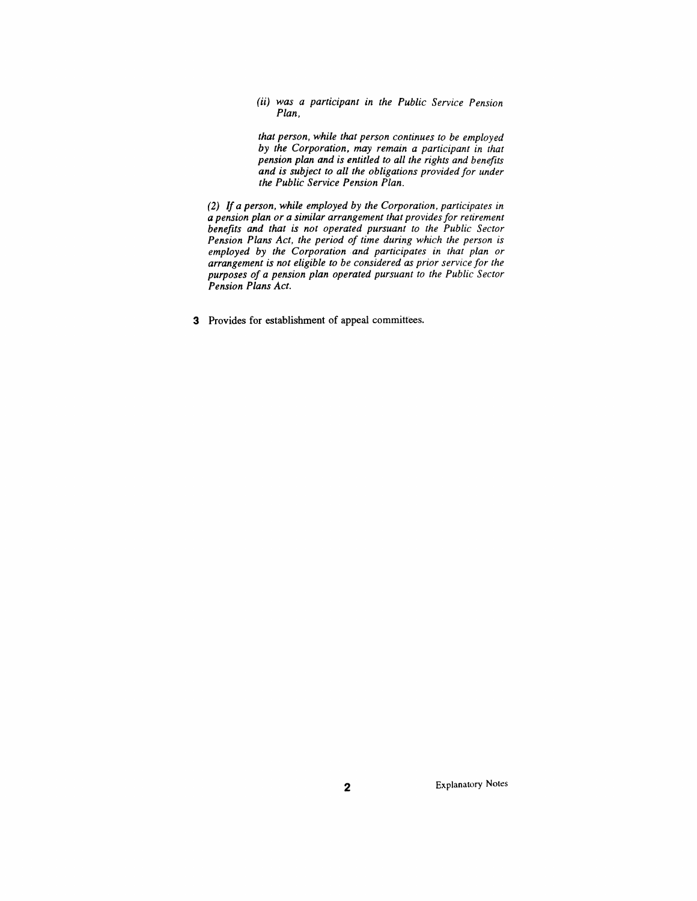*(ii) was a participant in the Public Service Pension Plan,*

*that person, while that person continues to be employed by the Corporation, may remain a participant in that pension plan and is entitled to all the rights and benefits and is subject to all the obligations providedfor under the Public Service Pension Plan.*

*(2) If a person, while employed by the Corporation, participates in a pension plan or a similar arrangement that providesfor retirement benefits and that is not operated pursuant to the Public Sector Pension Plans Act, the period of time during which the person is employed by the Corporation and participates in that plan or arrangement is not eligible to be considered as prior service for the purposes of a pension plan operated pursuant to the Public Sector Pension Plans Act.*

*3 Provides for establishment of appeal committees.*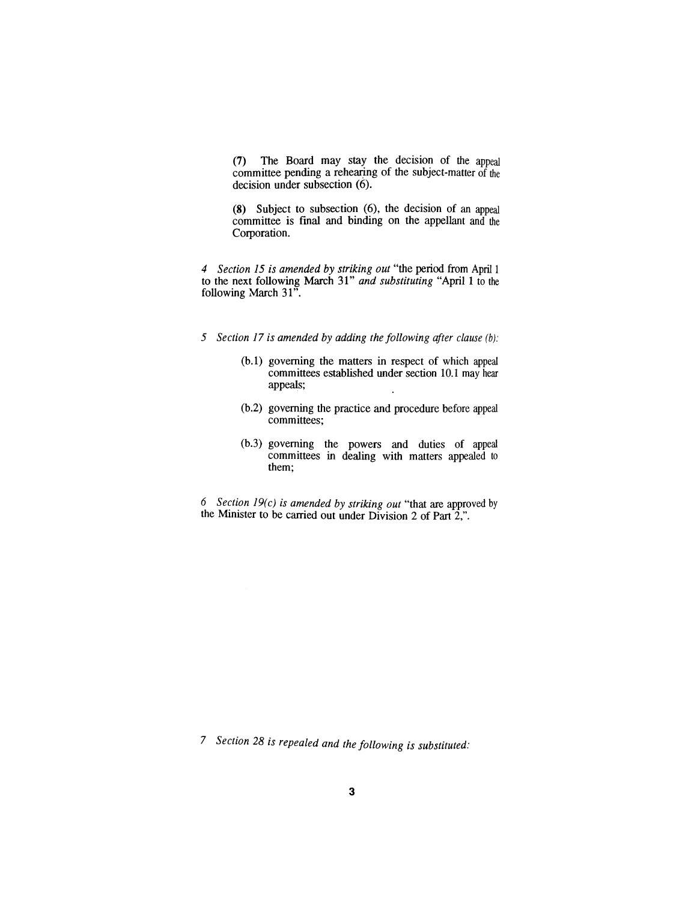*(7) The Board may stay the decision of the appeal committee pending a rehearing of the subject-matter of the decision under subsection (6).*

*(8) Subject to subsection (6), the decision of an appeal committee is final and binding on the appellant and the Corporation.*

*4 Section 15 is amended by striking out "the period from April <sup>1</sup> to the next following March 31" and substituting "April <sup>1</sup> to the following March 31".*

- *5 Section 17 is amended by adding the following <sup>a</sup>fter clause (b):*
	- *(b.1) governing the matters in respect of which appeal committees established under section 10.1 may hear appeals;*
	- *(b.2) governing the practice and procedure before appeal committees;*
	- *(b.3) governing the powers and duties of appeal committees in dealing with matters appealed to them;*

*6 Section 19(c) is amended by striking out "that are approved by the Minister to be carried out under Division 2 of Part 2,".*

*7 Section 28 is repealed and the following is substituted:*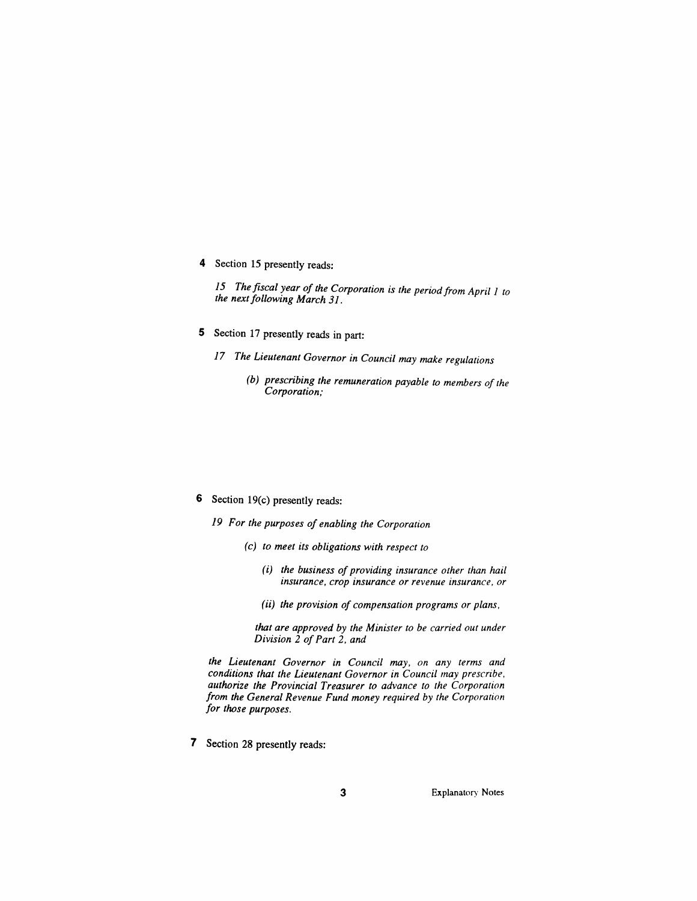*4 Section 15 presently reads:*

*15 Thefiscal year of the Corporation is the period from April <sup>1</sup> to the nextfollowing March 31.*

- *5 Section 17 presently reads in part:*
	- *17 The Lieutenant Governor in Council may make regulations*
		- *(b) prescribing the remuneration payable to members of the Corporation;*

- *6 Section 19(c) presently reads:*
	- *19 For the purposes of enabling the Corporation*
		- *(c) to meet its obligations with respect to*
			- *(i) the business ofproviding insurance other than hail insurance, crop insurance or revenue insurance, or*
			- *(ii) the provision of compensation programs or plans,*

*that are approved by the Minister to be carried out under Division 2 ofPart 2, and*

*the Lieutenant Governor in Council may, on any terms and conditions that the Lieutenant Governor in Council may prescribe, authorize the Provincial Treasurer to advance to the Corporation from the General Revenue Fund money required by the Corporation for those purposes.*

*7 Section 28 presently reads:*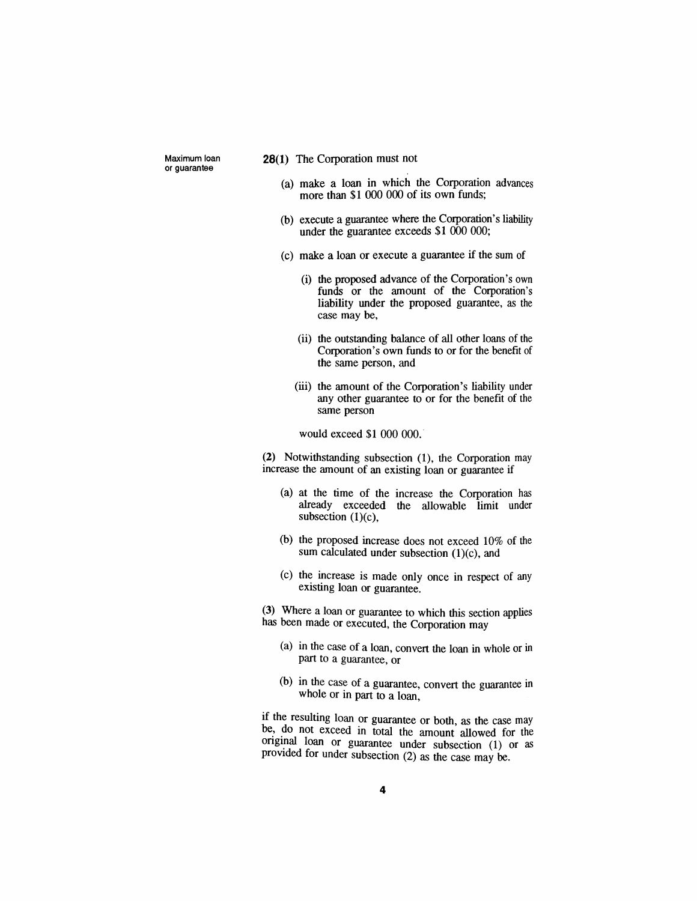*Maximum loan or guarantee*

#### *28(1) The Corporation must not*

- *(a) make a loan in which the Corporation advances more than \$1 000 000 of its own funds;*
- *(b) execute a guarantee where the Corporation's liability under the guarantee exceeds \$1 000 000;*
- *(c) make a loan or execute a guarantee if the sum of*
	- *(i) the proposed advance of the Corporation's own funds or the amount of the Corporation's liability under the proposed guarantee, as the case may be,*
	- *(ii) the outstanding balance of all other loans of the Corporation's own funds to or for the benefit of the same person, and*
	- *(iii) the amount of the Corporation's liability under any other guarantee to or for the benefit of the same person*

*would exceed \$1 000 000.*

*(2) Notwithstanding subsection (1), the Corporation may increase the amount of an existing loan or guarantee if*

- *(a) at the time of the increase the Corporation has already exceeded the allowable limit under subsection (1)(c),*
- *(b) the proposed increase does not exceed 10% of the sum calculated under subsection (1)(c), and*
- *(c) the increase is made only once in respect of any existing loan or guarantee.*

*(3) Where a loan or guarantee to which this section applies has been made or executed, the Corporation may*

- *(a) in the case of a loan, convert the loan in whole or in part to a guarantee, or*
- *(b) in the case of a guarantee, convert the guarantee in whole or in part to a loan,*

*if the resulting loan or guarantee or both, as the case may be, do not exceed in total the amount allowed for the original loan or guarantee under subsection (1) or as provided for under subsection (2) as the case may be.*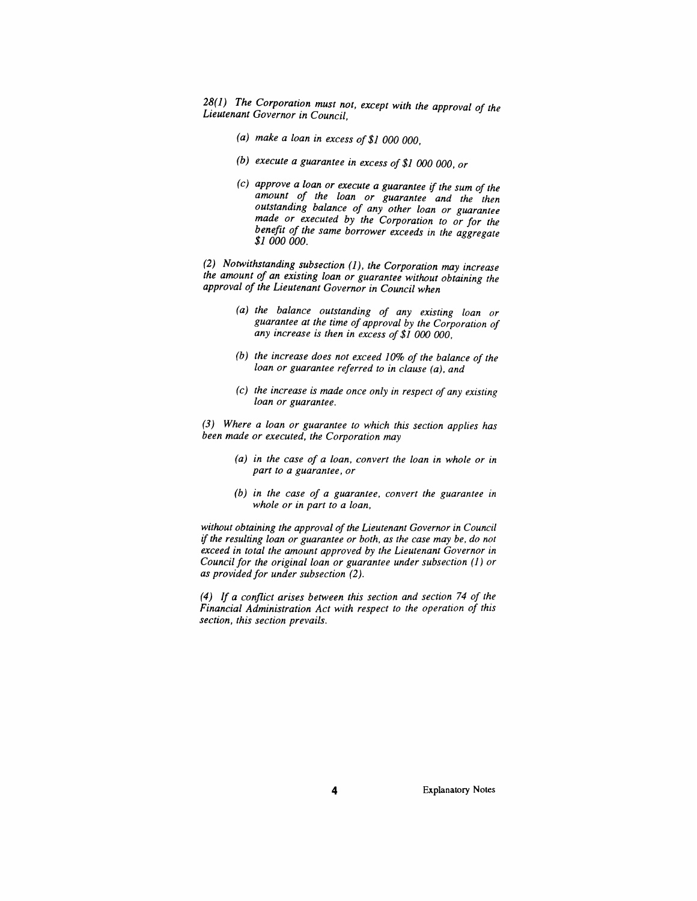*28(1) The Corporation must not, except with the approval of the Lieutenant Governor in Council,*

- *(a) make a loan in excess of\$1 000 000,*
- *(b) execute a guarantee in excess of \$1 000 000, or*
- *(c) approve a loan or execute a guarantee if the sum of the amount of the loan or guarantee and the then outstanding balance of any other loan or guarantee made or executed by the Corporation to or for the benefit of the same borrower exceeds in the aggregate \$1 000 000.*

*(2) Notwithstanding subsection (1), the Corporation may increase the amount of an existing loan or guarantee without obtaining the approval of the Lieutenant Governor in Council when*

- *(a) the balance outstanding of any existing loan or guarantee at the time of approval by the Corporation of any increase is then in excess of \$1 000 000,*
- *(b) the increase does not exceed 10% of the balance of the loan or guarantee referred to in clause (a), and*
- *(c) the increase is made once only in respect of any existing loan or guarantee.*

*(3) Where a loan or guarantee to which this section applies has been made or executed, the Corporation may*

- *(a) in the case of a loan, convert the loan in whole or in part to a guarantee, or*
- *(b) in the case of a guarantee, convert the guarantee in whole or in part to a loan,*

*without obtaining the approval ofthe Lieutenant Governor in Council ifthe resulting loan or guarantee or both, as the case may be, do not exceed in total the amount approved by the Lieutenant Governor in Council for the original loan or guarantee under subsection (1) or as providedfor under subsection (2).*

*(4) If a conflict arises between this section and section 74 of the Financial Administration Act with respect to the operation of this section, this section prevails.*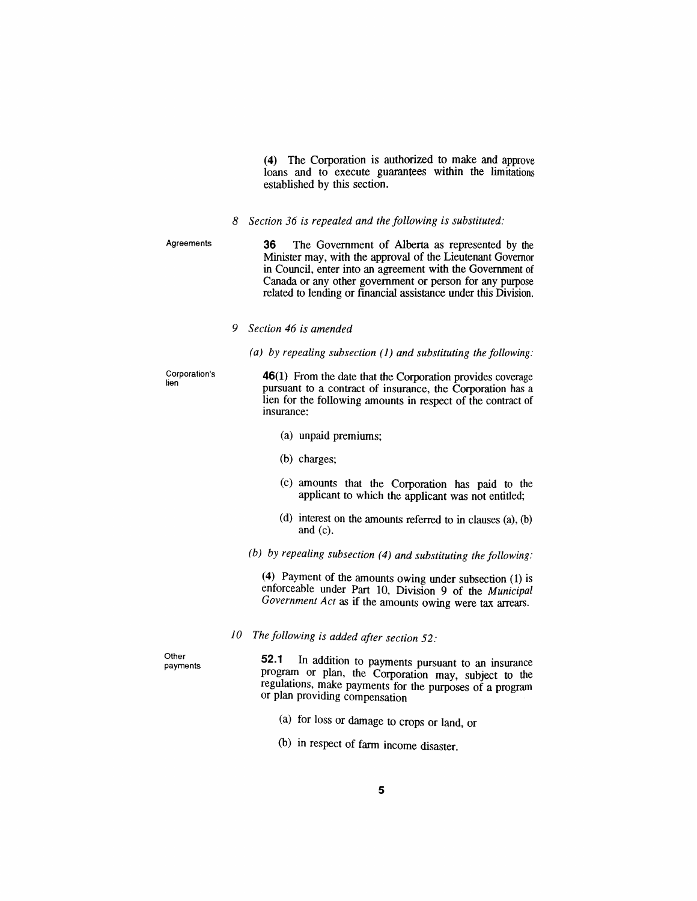*(4) The Corporation is authorized to make and approve loans and to execute guarantees within the limitations established by this section.*

*8 Section 36 is repealed and the following is substituted:*

*Agreements 36 The Government of Alberta as represented by the Minister may, with the approval of the Lieutenant Governor in Council, enter into an agreement with the Government of Canada or any other government or person for any purpose related to lending or financial assistance under this Division.*

*9 Section 46 is amended*

*(a) by repealing subsection (1) and substituting the following:*

*Corporation's lien*

*46(1) From the date that the Corporation provides coverage pursuant to a contract of insurance, the Corporation has a lien for the following amounts in respect of the contract of insurance:*

- *(a) unpaid premiums;*
- *(b) charges;*
- *(c) amounts that the Corporation has paid to the applicant to which the applicant was not entitled;*
- *(d) interest on the amounts referred to in clauses (a), (b) and (c).*

*(b) by repealing subsection (4) and substituting the following:*

*(4) Payment of the amounts owing under subsection (1) is enforceable under Part 10, Division 9 of the Municipal Government Act as if the amounts owing were tax arrears.*

*10 The following is added after section 52:*

*Other payments*

*52.1 In addition to payments pursuant to an insurance program or plan, the Corporation may, subject to the regulations, make payments for the purposes of a program or plan providing compensation*

- *(a) for loss or damage to crops or land, or*
- *(b) in respect of farm income disaster.*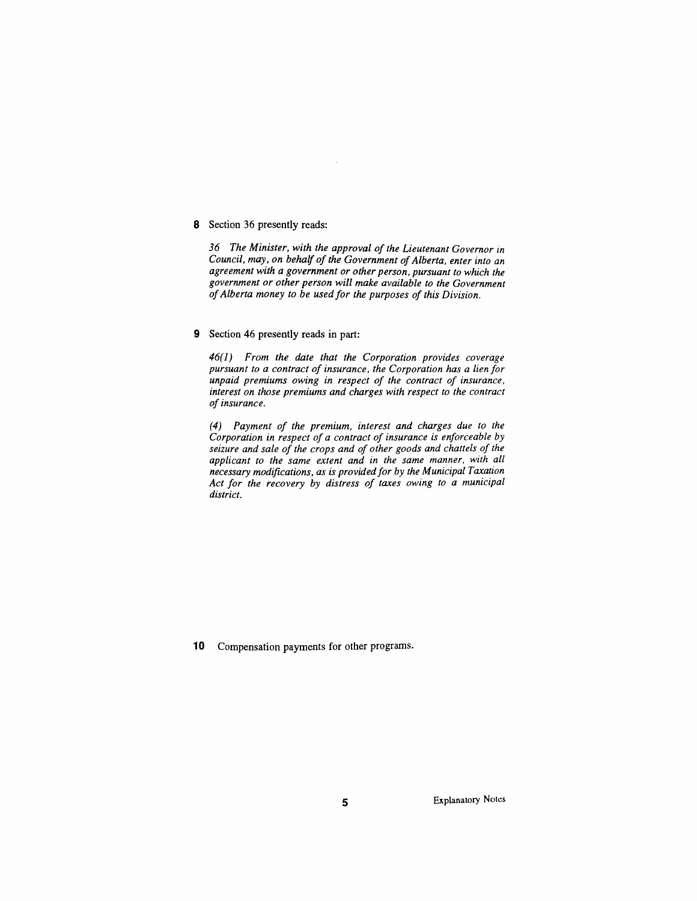#### *8 Section 36 presently reads:*

*36 The Minister, with the approval of the Lieutenant Governor in Council, may, on behalf of the Government ofAlberta, enter into an agreement with a government or other person, pursuant to which the government or other person will make available to the Government ofAlberta money to be usedfor the purposes of this Division.*

#### *9 Section 46 presently reads in part:*

*46(1) From the date that the Corporation provides coverage pursuant to a contract of insurance, the Corporation has a lien for unpaid premiums owing in respect of the contract of insurance, interest on those premiums and charges with respect to the contract of insurance.*

*(4) Payment of the premium, interest and charges due to the Corporation in respect of a contract of insurance is enforceable by seizure and sale of the crops and of other goods and chattels of the applicant to the same extent and in the same manner, with all necessary modifications, as is providedfor by the Municipal Taxation Act for the recovery by distress of taxes owing to a municipal district.*

*10 Compensation payments for other programs.*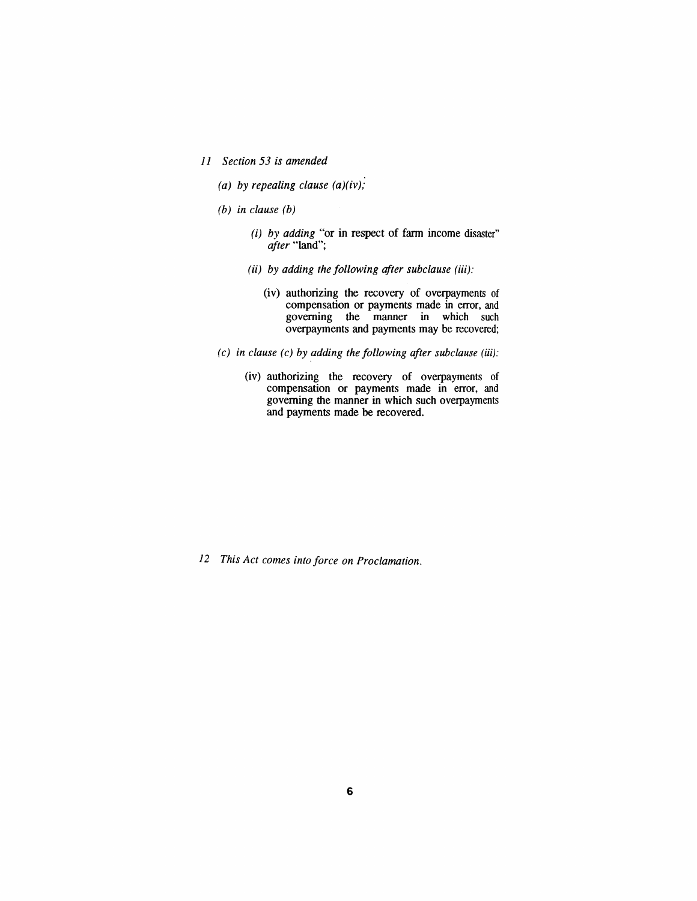- *11 Section 53 is amended*
	- *(a) by repealing clause (a)(iv);*
	- *(b) in clause (b)*
		- *(i) by adding "or in respect of farm income disaster" after "land";*
		- *(ii) by adding the following <sup>a</sup>fter subclause (iii):*
			- *(iv) authorizing the recovery of overpayments of compensation or payments made in error, and governing the manner in which such overpayments and payments may be recovered;*
	- *(c) in clause (c) by adding the following after subclause (iii):*
		- *(iv) authorizing the recovery of overpayments of compensation or payments made in error, and governing the manner in which such overpayments and payments made be recovered.*

*12 This Act comes into force on Proclamation.*